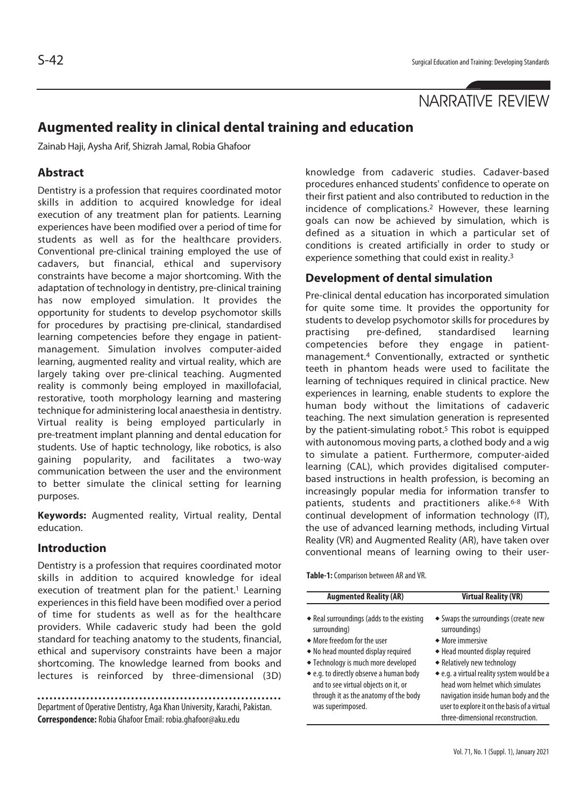# NARRATIVE REVIEW

# **Augmented reality in clinical dental training and education**

Zainab Haji, Aysha Arif, Shizrah Jamal, Robia Ghafoor

#### **Abstract**

Dentistry is a profession that requires coordinated motor skills in addition to acquired knowledge for ideal execution of any treatment plan for patients. Learning experiences have been modified over a period of time for students as well as for the healthcare providers. Conventional pre-clinical training employed the use of cadavers, but financial, ethical and supervisory constraints have become a major shortcoming. With the adaptation of technology in dentistry, pre-clinical training has now employed simulation. It provides the opportunity for students to develop psychomotor skills for procedures by practising pre-clinical, standardised learning competencies before they engage in patientmanagement. Simulation involves computer-aided learning, augmented reality and virtual reality, which are largely taking over pre-clinical teaching. Augmented reality is commonly being employed in maxillofacial, restorative, tooth morphology learning and mastering technique for administering local anaesthesia in dentistry. Virtual reality is being employed particularly in pre-treatment implant planning and dental education for students. Use of haptic technology, like robotics, is also gaining popularity, and facilitates a two-way communication between the user and the environment to better simulate the clinical setting for learning purposes.

**Keywords:** Augmented reality, Virtual reality, Dental education.

#### **Introduction**

Dentistry is a profession that requires coordinated motor skills in addition to acquired knowledge for ideal execution of treatment plan for the patient.<sup>1</sup> Learning experiences in this field have been modified over a period of time for students as well as for the healthcare providers. While cadaveric study had been the gold standard for teaching anatomy to the students, financial, ethical and supervisory constraints have been a major shortcoming. The knowledge learned from books and lectures is reinforced by three-dimensional (3D)

Department of Operative Dentistry, Aga Khan University, Karachi, Pakistan. **Correspondence:** Robia Ghafoor Email: robia.ghafoor@aku.edu

knowledge from cadaveric studies. Cadaver-based procedures enhanced students' confidence to operate on their first patient and also contributed to reduction in the incidence of complications.2 However, these learning goals can now be achieved by simulation, which is defined as a situation in which a particular set of conditions is created artificially in order to study or experience something that could exist in reality.3

#### **Development of dental simulation**

Pre-clinical dental education has incorporated simulation for quite some time. It provides the opportunity for students to develop psychomotor skills for procedures by practising pre-defined, standardised learning competencies before they engage in patientmanagement.4 Conventionally, extracted or synthetic teeth in phantom heads were used to facilitate the learning of techniques required in clinical practice. New experiences in learning, enable students to explore the human body without the limitations of cadaveric teaching. The next simulation generation is represented by the patient-simulating robot.<sup>5</sup> This robot is equipped with autonomous moving parts, a clothed body and a wig to simulate a patient. Furthermore, computer-aided learning (CAL), which provides digitalised computerbased instructions in health profession, is becoming an increasingly popular media for information transfer to patients, students and practitioners alike.<sup>6-8</sup> With continual development of information technology (IT), the use of advanced learning methods, including Virtual Reality (VR) and Augmented Reality (AR), have taken over conventional means of learning owing to their user-

**Table-1:** Comparison between AR and VR.

| <b>AUGHICIILE INCAILLY (AIL)</b>                                                                                                                                                                                                                                                                                       | <b>VILLUAL REALLY (VR)</b>                                                                                                                                                                                                                                                                                                                                 |
|------------------------------------------------------------------------------------------------------------------------------------------------------------------------------------------------------------------------------------------------------------------------------------------------------------------------|------------------------------------------------------------------------------------------------------------------------------------------------------------------------------------------------------------------------------------------------------------------------------------------------------------------------------------------------------------|
| • Real surroundings (adds to the existing<br>surrounding)<br>• More freedom for the user<br>• No head mounted display required<br>◆ Technology is much more developed<br>• e.g. to directly observe a human body<br>and to see virtual objects on it, or<br>through it as the anatomy of the body<br>was superimposed. | • Swaps the surroundings (create new<br>surroundings)<br>• More immersive<br>◆ Head mounted display required<br>• Relatively new technology<br>• e.g. a virtual reality system would be a<br>head worn helmet which simulates<br>navigation inside human body and the<br>user to explore it on the basis of a virtual<br>three-dimensional reconstruction. |
|                                                                                                                                                                                                                                                                                                                        |                                                                                                                                                                                                                                                                                                                                                            |

 **Augmented Reality (AR) Virtual Reality (VR)**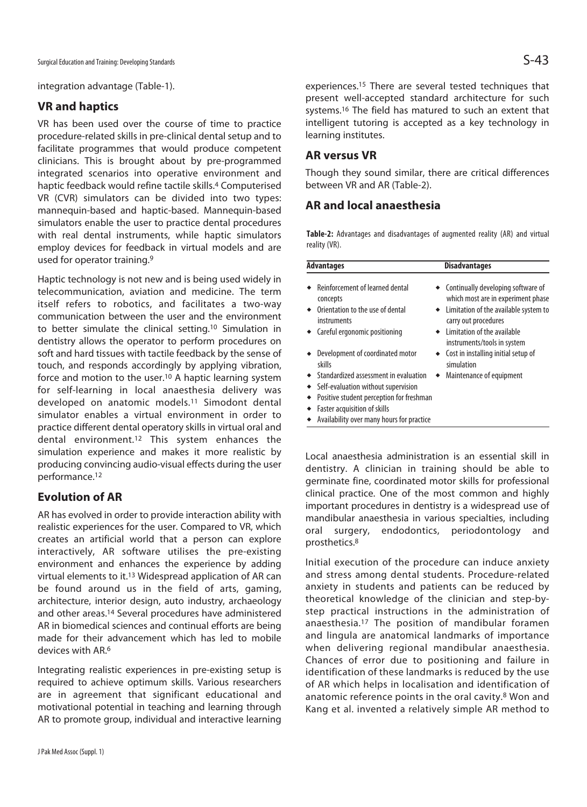integration advantage (Table-1).

# **VR and haptics**

VR has been used over the course of time to practice procedure-related skills in pre-clinical dental setup and to facilitate programmes that would produce competent clinicians. This is brought about by pre-programmed integrated scenarios into operative environment and haptic feedback would refine tactile skills.4 Computerised VR (CVR) simulators can be divided into two types: mannequin-based and haptic-based. Mannequin-based simulators enable the user to practice dental procedures with real dental instruments, while haptic simulators employ devices for feedback in virtual models and are used for operator training.9

Haptic technology is not new and is being used widely in telecommunication, aviation and medicine. The term itself refers to robotics, and facilitates a two-way communication between the user and the environment to better simulate the clinical setting.10 Simulation in dentistry allows the operator to perform procedures on soft and hard tissues with tactile feedback by the sense of touch, and responds accordingly by applying vibration, force and motion to the user.<sup>10</sup> A haptic learning system for self-learning in local anaesthesia delivery was developed on anatomic models.11 Simodont dental simulator enables a virtual environment in order to practice different dental operatory skills in virtual oral and dental environment.12 This system enhances the simulation experience and makes it more realistic by producing convincing audio-visual effects during the user performance.12

# **Evolution of AR**

AR has evolved in order to provide interaction ability with realistic experiences for the user. Compared to VR, which creates an artificial world that a person can explore interactively, AR software utilises the pre-existing environment and enhances the experience by adding virtual elements to it.13 Widespread application of AR can be found around us in the field of arts, gaming, architecture, interior design, auto industry, archaeology and other areas.14 Several procedures have administered AR in biomedical sciences and continual efforts are being made for their advancement which has led to mobile devices with AR6

Integrating realistic experiences in pre-existing setup is required to achieve optimum skills. Various researchers are in agreement that significant educational and motivational potential in teaching and learning through AR to promote group, individual and interactive learning

experiences.15 There are several tested techniques that present well-accepted standard architecture for such systems.16 The field has matured to such an extent that intelligent tutoring is accepted as a key technology in learning institutes.

# **AR versus VR**

Though they sound similar, there are critical differences between VR and AR (Table-2).

# **AR and local anaesthesia**

**Table-2:** Advantages and disadvantages of augmented reality (AR) and virtual reality (VR).

| <b>Advantages</b>                                                                                                                                        | <b>Disadvantages</b>                                                                                                                          |
|----------------------------------------------------------------------------------------------------------------------------------------------------------|-----------------------------------------------------------------------------------------------------------------------------------------------|
| Reinforcement of learned dental<br>concepts<br>Orientation to the use of dental<br>instruments                                                           | • Continually developing software of<br>which most are in experiment phase<br>• Limitation of the available system to<br>carry out procedures |
| Careful ergonomic positioning                                                                                                                            | Limitation of the available<br>instruments/tools in system                                                                                    |
| Development of coordinated motor<br>skills                                                                                                               | Cost in installing initial setup of<br>simulation                                                                                             |
| Standardized assessment in evaluation<br>Self-evaluation without supervision<br>Positive student perception for freshman<br>Faster acquisition of skills | Maintenance of equipment                                                                                                                      |
| Availability over many hours for practice                                                                                                                |                                                                                                                                               |

Local anaesthesia administration is an essential skill in dentistry. A clinician in training should be able to germinate fine, coordinated motor skills for professional clinical practice. One of the most common and highly important procedures in dentistry is a widespread use of mandibular anaesthesia in various specialties, including oral surgery, endodontics, periodontology and prosthetics.8

Initial execution of the procedure can induce anxiety and stress among dental students. Procedure-related anxiety in students and patients can be reduced by theoretical knowledge of the clinician and step-bystep practical instructions in the administration of anaesthesia.17 The position of mandibular foramen and lingula are anatomical landmarks of importance when delivering regional mandibular anaesthesia. Chances of error due to positioning and failure in identification of these landmarks is reduced by the use of AR which helps in localisation and identification of anatomic reference points in the oral cavity.8 Won and Kang et al. invented a relatively simple AR method to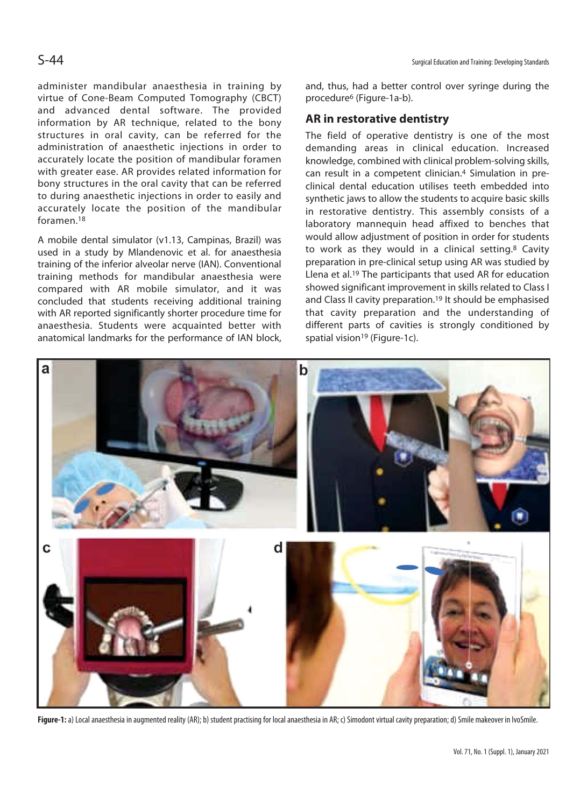administer mandibular anaesthesia in training by virtue of Cone-Beam Computed Tomography (CBCT) and advanced dental software. The provided information by AR technique, related to the bony structures in oral cavity, can be referred for the administration of anaesthetic injections in order to accurately locate the position of mandibular foramen with greater ease. AR provides related information for bony structures in the oral cavity that can be referred to during anaesthetic injections in order to easily and accurately locate the position of the mandibular foramen.18

A mobile dental simulator (v1.13, Campinas, Brazil) was used in a study by Mlandenovic et al. for anaesthesia training of the inferior alveolar nerve (IAN). Conventional training methods for mandibular anaesthesia were compared with AR mobile simulator, and it was concluded that students receiving additional training with AR reported significantly shorter procedure time for anaesthesia. Students were acquainted better with anatomical landmarks for the performance of IAN block,

and, thus, had a better control over syringe during the procedure6 (Figure-1a-b).

#### **AR in restorative dentistry**

The field of operative dentistry is one of the most demanding areas in clinical education. Increased knowledge, combined with clinical problem-solving skills, can result in a competent clinician.4 Simulation in preclinical dental education utilises teeth embedded into synthetic jaws to allow the students to acquire basic skills in restorative dentistry. This assembly consists of a laboratory mannequin head affixed to benches that would allow adjustment of position in order for students to work as they would in a clinical setting.8 Cavity preparation in pre-clinical setup using AR was studied by Llena et al.19 The participants that used AR for education showed significant improvement in skills related to Class I and Class II cavity preparation.19 It should be emphasised that cavity preparation and the understanding of different parts of cavities is strongly conditioned by spatial vision<sup>19</sup> (Figure-1c).



Figure-1: a) Local anaesthesia in augmented reality (AR); b) student practising for local anaesthesia in AR; c) Simodont virtual cavity preparation; d) Smile makeover in IvoSmile.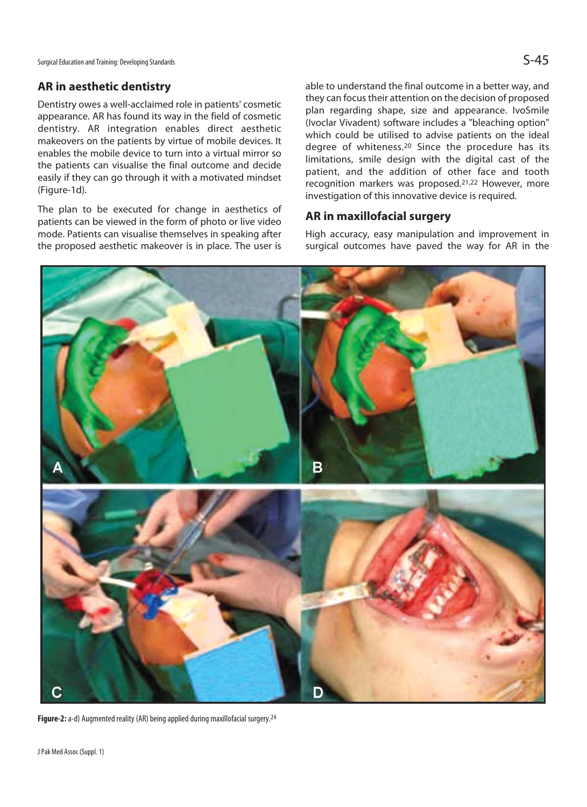Surgical Education and Training: Developing Standards  $\mathsf{S}\text{-}45$ 

## **AR in aesthetic dentistry**

Dentistry owes a well-acclaimed role in patients' cosmetic appearance. AR has found its way in the field of cosmetic dentistry. AR integration enables direct aesthetic makeovers on the patients by virtue of mobile devices. It enables the mobile device to turn into a virtual mirror so the patients can visualise the final outcome and decide easily if they can go through it with a motivated mindset (Figure-1d).

The plan to be executed for change in aesthetics of patients can be viewed in the form of photo or live video mode. Patients can visualise themselves in speaking after the proposed aesthetic makeover is in place. The user is able to understand the final outcome in a better way, and they can focus their attention on the decision of proposed plan regarding shape, size and appearance. IvoSmile (Ivoclar Vivadent) software includes a "bleaching option" which could be utilised to advise patients on the ideal degree of whiteness.20 Since the procedure has its limitations, smile design with the digital cast of the patient, and the addition of other face and tooth recognition markers was proposed.21,22 However, more investigation of this innovative device is required.

# **AR in maxillofacial surgery**

High accuracy, easy manipulation and improvement in surgical outcomes have paved the way for AR in the



Figure-2: a-d) Augmented reality (AR) being applied during maxillofacial surgery.<sup>24</sup>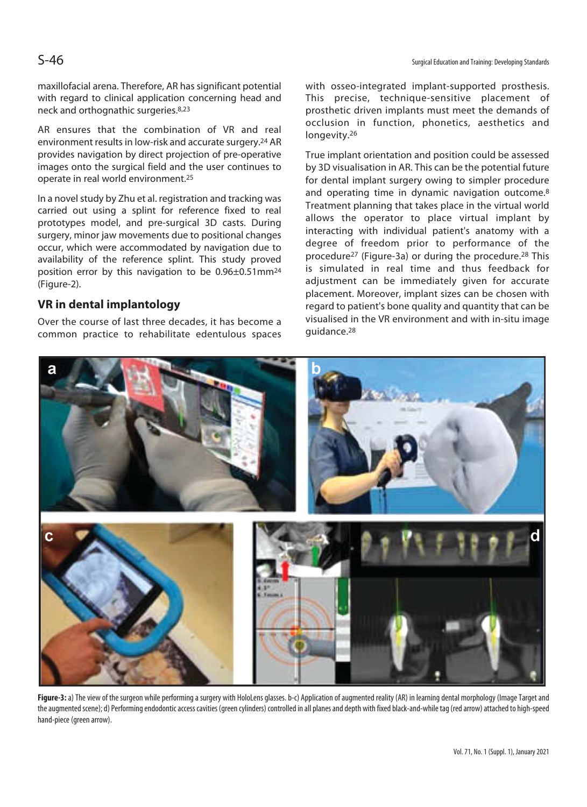maxillofacial arena. Therefore, AR has significant potential with regard to clinical application concerning head and neck and orthognathic surgeries.8,23

AR ensures that the combination of VR and real environment results in low-risk and accurate surgery.24 AR provides navigation by direct projection of pre-operative images onto the surgical field and the user continues to operate in real world environment.25

In a novel study by Zhu et al. registration and tracking was carried out using a splint for reference fixed to real prototypes model, and pre-surgical 3D casts. During surgery, minor jaw movements due to positional changes occur, which were accommodated by navigation due to availability of the reference splint. This study proved position error by this navigation to be 0.96±0.51mm24 (Figure-2).

# **VR in dental implantology**

Over the course of last three decades, it has become a common practice to rehabilitate edentulous spaces with osseo-integrated implant-supported prosthesis. This precise, technique-sensitive placement of prosthetic driven implants must meet the demands of occlusion in function, phonetics, aesthetics and longevity.26

True implant orientation and position could be assessed by 3D visualisation in AR. This can be the potential future for dental implant surgery owing to simpler procedure and operating time in dynamic navigation outcome.8 Treatment planning that takes place in the virtual world allows the operator to place virtual implant by interacting with individual patient's anatomy with a degree of freedom prior to performance of the procedure27 (Figure-3a) or during the procedure.28 This is simulated in real time and thus feedback for adjustment can be immediately given for accurate placement. Moreover, implant sizes can be chosen with regard to patient's bone quality and quantity that can be visualised in the VR environment and with in-situ image guidance.28



Figure-3: a) The view of the surgeon while performing a surgery with HoloLens glasses. b-c) Application of augmented reality (AR) in learning dental morphology (Image Target and the augmented scene); d) Performing endodontic access cavities (green cylinders) controlled in all planes and depth with fixed black-and-while tag (red arrow) attached to high-speed hand-piece (green arrow).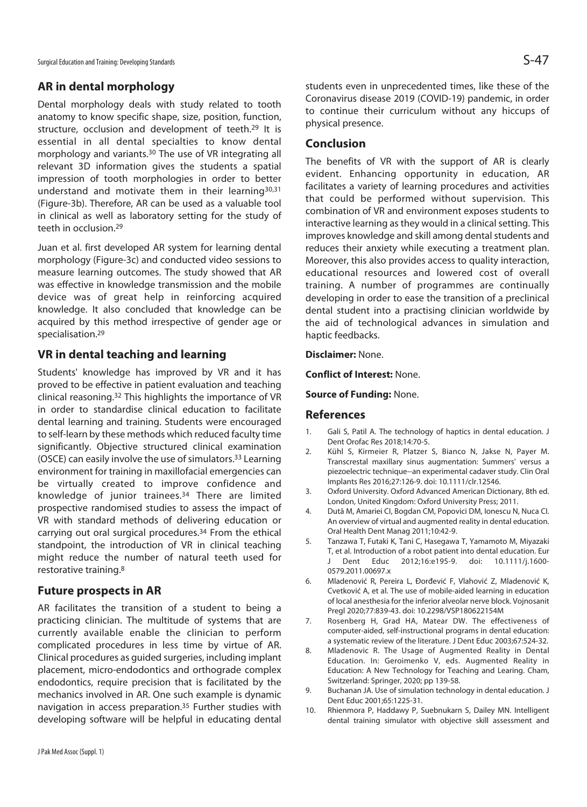Surgical Education and Training: Developing Standards  $\mathsf{S-47}$ 

## **AR in dental morphology**

Dental morphology deals with study related to tooth anatomy to know specific shape, size, position, function, structure, occlusion and development of teeth.<sup>29</sup> It is essential in all dental specialties to know dental morphology and variants.30 The use of VR integrating all relevant 3D information gives the students a spatial impression of tooth morphologies in order to better understand and motivate them in their learning30,31 (Figure-3b). Therefore, AR can be used as a valuable tool in clinical as well as laboratory setting for the study of teeth in occlusion.29

Juan et al. first developed AR system for learning dental morphology (Figure-3c) and conducted video sessions to measure learning outcomes. The study showed that AR was effective in knowledge transmission and the mobile device was of great help in reinforcing acquired knowledge. It also concluded that knowledge can be acquired by this method irrespective of gender age or specialisation.29

#### **VR in dental teaching and learning**

Students' knowledge has improved by VR and it has proved to be effective in patient evaluation and teaching clinical reasoning.32 This highlights the importance of VR in order to standardise clinical education to facilitate dental learning and training. Students were encouraged to self-learn by these methods which reduced faculty time significantly. Objective structured clinical examination (OSCE) can easily involve the use of simulators.33 Learning environment for training in maxillofacial emergencies can be virtually created to improve confidence and knowledge of junior trainees.34 There are limited prospective randomised studies to assess the impact of VR with standard methods of delivering education or carrying out oral surgical procedures.34 From the ethical standpoint, the introduction of VR in clinical teaching might reduce the number of natural teeth used for restorative training.8

#### **Future prospects in AR**

AR facilitates the transition of a student to being a practicing clinician. The multitude of systems that are currently available enable the clinician to perform complicated procedures in less time by virtue of AR. Clinical procedures as guided surgeries, including implant placement, micro-endodontics and orthograde complex endodontics, require precision that is facilitated by the mechanics involved in AR. One such example is dynamic navigation in access preparation.35 Further studies with developing software will be helpful in educating dental students even in unprecedented times, like these of the Coronavirus disease 2019 (COVID-19) pandemic, in order to continue their curriculum without any hiccups of physical presence.

## **Conclusion**

The benefits of VR with the support of AR is clearly evident. Enhancing opportunity in education, AR facilitates a variety of learning procedures and activities that could be performed without supervision. This combination of VR and environment exposes students to interactive learning as they would in a clinical setting. This improves knowledge and skill among dental students and reduces their anxiety while executing a treatment plan. Moreover, this also provides access to quality interaction, educational resources and lowered cost of overall training. A number of programmes are continually developing in order to ease the transition of a preclinical dental student into a practising clinician worldwide by the aid of technological advances in simulation and haptic feedbacks.

#### **Disclaimer:** None.

**Conflict of Interest:** None.

**Source of Funding:** None.

#### **References**

- 1. Gali S, Patil A. The technology of haptics in dental education. J Dent Orofac Res 2018;14:70-5.
- 2. Kühl S, Kirmeier R, Platzer S, Bianco N, Jakse N, Payer M. Transcrestal maxillary sinus augmentation: Summers' versus a piezoelectric technique--an experimental cadaver study. Clin Oral Implants Res 2016;27:126-9. doi: 10.1111/clr.12546.
- 3. Oxford University. Oxford Advanced American Dictionary, 8th ed. London, United Kingdom: Oxford University Press; 2011.
- 4. Dutã M, Amariei CI, Bogdan CM, Popovici DM, Ionescu N, Nuca CI. An overview of virtual and augmented reality in dental education. Oral Health Dent Manag 2011;10:42-9.
- 5. Tanzawa T, Futaki K, Tani C, Hasegawa T, Yamamoto M, Miyazaki T, et al. Introduction of a robot patient into dental education. Eur J Dent Educ 2012;16:e195-9. doi: 10.1111/j.1600- 0579.2011.00697.x
- 6. Mladenović R, Pereira L, Đorđević F, Vlahović Z, Mladenović K, Cvetković A, et al. The use of mobile-aided learning in education of local anesthesia for the inferior alveolar nerve block. Vojnosanit Pregl 2020;77:839-43. doi: 10.2298/VSP180622154M
- 7. Rosenberg H, Grad HA, Matear DW. The effectiveness of computer-aided, self-instructional programs in dental education: a systematic review of the literature. J Dent Educ 2003;67:524-32.
- 8. Mladenovic R. The Usage of Augmented Reality in Dental Education. In: Geroimenko V, eds. Augmented Reality in Education: A New Technology for Teaching and Learing. Cham, Switzerland: Springer, 2020; pp 139-58.
- 9. Buchanan JA. Use of simulation technology in dental education. J Dent Educ 2001;65:1225-31.
- 10. Rhienmora P, Haddawy P, Suebnukarn S, Dailey MN. Intelligent dental training simulator with objective skill assessment and